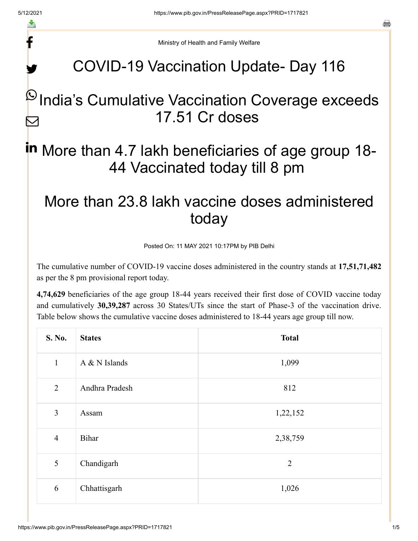f

y.

a

Ministry of Health and Family Welfare

## COVID-19 Vaccination Update- Day 116

### $\mathsf P$ India's Cumulative Vaccination Coverage exceeds 17.51 Cr doses M

# in More than 4.7 lakh beneficiaries of age group 18-44 Vaccinated today till 8 pm

### More than 23.8 lakh vaccine doses administered today

Posted On: 11 MAY 2021 10:17PM by PIB Delhi

The cumulative number of COVID-19 vaccine doses administered in the country stands at **17,51,71,482** as per the 8 pm provisional report today.

**4,74,629** beneficiaries of the age group 18-44 years received their first dose of COVID vaccine today and cumulatively **30,39,287** across 30 States/UTs since the start of Phase-3 of the vaccination drive. Table below shows the cumulative vaccine doses administered to 18-44 years age group till now.

| S. No.         | <b>States</b>  | <b>Total</b>   |
|----------------|----------------|----------------|
| $\mathbf{1}$   | A & N Islands  | 1,099          |
| $\overline{2}$ | Andhra Pradesh | 812            |
| 3              | Assam          | 1,22,152       |
| $\overline{4}$ | Bihar          | 2,38,759       |
| 5              | Chandigarh     | $\overline{2}$ |
| 6              | Chhattisgarh   | 1,026          |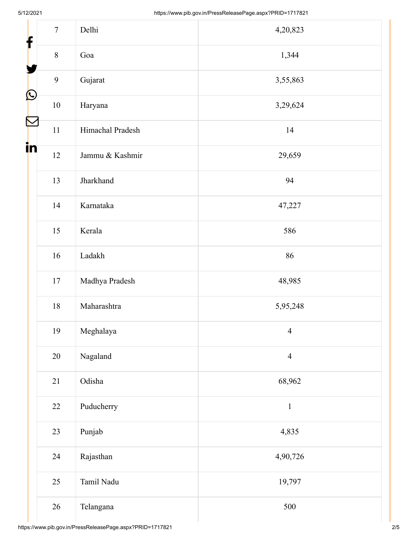| $\mathbf f$           | $\overline{7}$ | Delhi            | 4,20,823       |
|-----------------------|----------------|------------------|----------------|
|                       | $8\,$          | Goa              | 1,344          |
|                       | 9              | Gujarat          | 3,55,863       |
| $\bigcirc$            | $10\,$         | Haryana          | 3,29,624       |
| $\blacktriangleright$ | $11\,$         | Himachal Pradesh | 14             |
| in                    | 12             | Jammu & Kashmir  | 29,659         |
|                       | 13             | Jharkhand        | 94             |
|                       | 14             | Karnataka        | 47,227         |
|                       | 15             | Kerala           | 586            |
|                       | $16\,$         | Ladakh           | 86             |
|                       | $17\,$         | Madhya Pradesh   | 48,985         |
|                       | $18\,$         | Maharashtra      | 5,95,248       |
|                       | 19             | Meghalaya        | $\overline{4}$ |
|                       | $20\,$         | Nagaland         | $\overline{4}$ |
|                       | 21             | Odisha           | 68,962         |
|                       | 22             | Puducherry       | $\,1$          |
|                       | 23             | Punjab           | 4,835          |
|                       | 24             | Rajasthan        | 4,90,726       |
|                       | 25             | Tamil Nadu       | 19,797         |
|                       | 26             | Telangana        | 500            |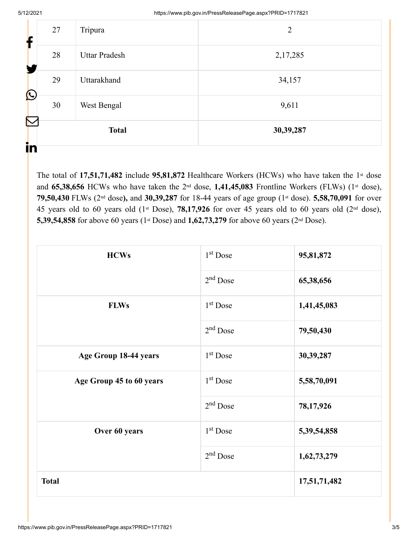| $\sum$<br>in |    | <b>Total</b>         | 30,39,287      |
|--------------|----|----------------------|----------------|
| C            | 30 | West Bengal          | 9,611          |
|              | 29 | Uttarakhand          | 34,157         |
|              | 28 | <b>Uttar Pradesh</b> | 2,17,285       |
|              | 27 | Tripura              | $\overline{2}$ |

The total of  $17,51,71,482$  include  $95,81,872$  Healthcare Workers (HCWs) who have taken the 1<sup>st</sup> dose and 65,38,656 HCWs who have taken the 2<sup>nd</sup> dose, 1,41,45,083 Frontline Workers (FLWs) (1<sup>st</sup> dose), 79,50,430 FLWs (2<sup>nd</sup> dose), and 30,39,287 for 18-44 years of age group (1<sup>st</sup> dose). 5,58,70,091 for over 45 years old to 60 years old  $(1<sup>st</sup> Does), 78,17,926$  for over 45 years old to 60 years old  $(2<sup>nd</sup> dose),$ **5,39,54,858** for above 60 years (1<sup>st</sup> Dose) and **1,62,73,279** for above 60 years (2<sup>nd</sup> Dose).

| <b>HCWs</b>              | 1 <sup>st</sup> Dose | 95,81,872    |
|--------------------------|----------------------|--------------|
|                          | $2nd$ Dose           | 65,38,656    |
| <b>FLWs</b>              | 1 <sup>st</sup> Dose | 1,41,45,083  |
|                          | $2nd$ Dose           | 79,50,430    |
| Age Group 18-44 years    | $1st$ Dose           | 30, 39, 287  |
| Age Group 45 to 60 years | $1st$ Dose           | 5,58,70,091  |
|                          | $2nd$ Dose           | 78,17,926    |
| Over 60 years            | 1 <sup>st</sup> Dose | 5,39,54,858  |
|                          | $2nd$ Dose           | 1,62,73,279  |
| <b>Total</b>             |                      | 17,51,71,482 |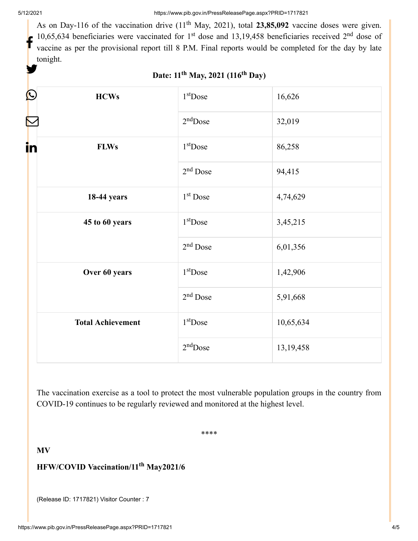As on Day-116 of the vaccination drive  $(11<sup>th</sup>$  May, 2021), total 23,85,092 vaccine doses were given. 10,65,634 beneficiaries were vaccinated for  $1<sup>st</sup>$  dose and 13,19,458 beneficiaries received  $2<sup>nd</sup>$  dose of vaccine as per the provisional report till 8 P.M. Final reports would be completed for the day by late tonight. f y.

| C<br><b>HCWs</b>         | 1 <sup>st</sup> Dose | 16,626      |
|--------------------------|----------------------|-------------|
|                          | $2nd$ Dose           | 32,019      |
| in<br><b>FLWs</b>        | 1 <sup>st</sup> Dose | 86,258      |
|                          | 2 <sup>nd</sup> Dose | 94,415      |
| <b>18-44 years</b>       | $1st$ Dose           | 4,74,629    |
| 45 to 60 years           | $1st$ Dose           | 3,45,215    |
|                          | $2nd$ Dose           | 6,01,356    |
| Over 60 years            | 1 <sup>st</sup> Dose | 1,42,906    |
|                          | $2nd$ Dose           | 5,91,668    |
| <b>Total Achievement</b> | $1st$ Dose           | 10,65,634   |
|                          | $2nd$ Dose           | 13, 19, 458 |

#### **Date: 11 May, 2021 (116 Day) th th**

The vaccination exercise as a tool to protect the most vulnerable population groups in the country from COVID-19 continues to be regularly reviewed and monitored at the highest level.

\*\*\*\*

**MV**

#### **HFW/COVID Vaccination/11<sup>th</sup> May2021/6**

(Release ID: 1717821) Visitor Counter : 7